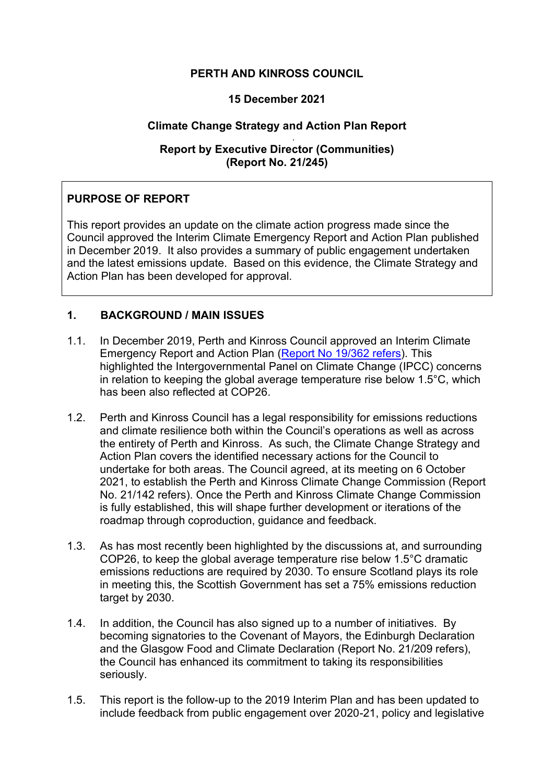# **PERTH AND KINROSS COUNCIL**

### **15 December 2021**

# **Climate Change Strategy and Action Plan Report**

#### *.*  **Report by Executive Director (Communities) (Report No. 21/245)**

# **PURPOSE OF REPORT**

This report provides an update on the climate action progress made since the Council approved the Interim Climate Emergency Report and Action Plan published in December 2019. It also provides a summary of public engagement undertaken and the latest emissions update. Based on this evidence, the Climate Strategy and Action Plan has been developed for approval.

# **1. BACKGROUND / MAIN ISSUES**

- 1.1. In December 2019, Perth and Kinross Council approved an Interim Climate Emergency Report and Action Plan [\(Report No 19/362 refers\)](https://perth-and-kinross.cmis.uk.com/perth-and-kinross/Document.ashx?czJKcaeAi5tUFL1DTL2UE4zNRBcoShgo=dEiElNnltSY9Q3VVr9WwjMGQouC4PDHU81cH%2fLWsqUHjSlTqFcFNDA%3d%3d&rUzwRPf%2bZ3zd4E7Ikn8Lyw%3d%3d=pwRE6AGJFLDNlh225F5QMaQWCtPHwdhUfCZ%2fLUQzgA2uL5jNRG4jdQ%3d%3d&mCTIbCubSFfXsDGW9IXnlg%3d%3d=hFflUdN3100%3d&kCx1AnS9%2fpWZQ40DXFvdEw%3d%3d=hFflUdN3100%3d&uJovDxwdjMPoYv%2bAJvYtyA%3d%3d=ctNJFf55vVA%3d&FgPlIEJYlotS%2bYGoBi5olA%3d%3d=NHdURQburHA%3d&d9Qjj0ag1Pd993jsyOJqFvmyB7X0CSQK=ctNJFf55vVA%3d&WGewmoAfeNR9xqBux0r1Q8Za60lavYmz=ctNJFf55vVA%3d&WGewmoAfeNQ16B2MHuCpMRKZMwaG1PaO=ctNJFf55vVA%3d). This highlighted the Intergovernmental Panel on Climate Change (IPCC) concerns in relation to keeping the global average temperature rise below 1.5°C, which has been also reflected at COP26.
- 1.2. Perth and Kinross Council has a legal responsibility for emissions reductions and climate resilience both within the Council's operations as well as across the entirety of Perth and Kinross. As such, the Climate Change Strategy and Action Plan covers the identified necessary actions for the Council to undertake for both areas. The Council agreed, at its meeting on 6 October 2021, to establish the Perth and Kinross Climate Change Commission (Report No. 21/142 refers). Once the Perth and Kinross Climate Change Commission is fully established, this will shape further development or iterations of the roadmap through coproduction, guidance and feedback.
- 1.3. As has most recently been highlighted by the discussions at, and surrounding COP26, to keep the global average temperature rise below 1.5°C dramatic emissions reductions are required by 2030. To ensure Scotland plays its role in meeting this, the Scottish Government has set a 75% emissions reduction target by 2030.
- 1.4. In addition, the Council has also signed up to a number of initiatives. By becoming signatories to the Covenant of Mayors, the Edinburgh Declaration and the Glasgow Food and Climate Declaration (Report No. 21/209 refers), the Council has enhanced its commitment to taking its responsibilities seriously.
- 1.5. This report is the follow-up to the 2019 Interim Plan and has been updated to include feedback from public engagement over 2020-21, policy and legislative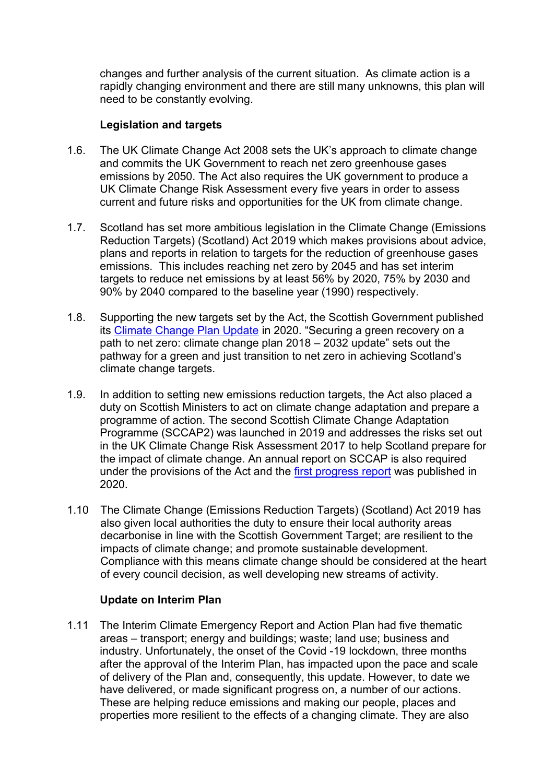changes and further analysis of the current situation. As climate action is a rapidly changing environment and there are still many unknowns, this plan will need to be constantly evolving.

### **Legislation and targets**

- 1.6. The UK Climate Change Act 2008 sets the UK's approach to climate change and commits the UK Government to reach net zero greenhouse gases emissions by 2050. The Act also requires the UK government to produce a UK Climate Change Risk Assessment every five years in order to assess current and future risks and opportunities for the UK from climate change.
- 1.7. Scotland has set more ambitious legislation in the Climate Change (Emissions Reduction Targets) (Scotland) Act 2019 which makes provisions about advice, plans and reports in relation to targets for the reduction of greenhouse gases emissions. This includes reaching net zero by 2045 and has set interim targets to reduce net emissions by at least 56% by 2020, 75% by 2030 and 90% by 2040 compared to the baseline year (1990) respectively.
- 1.8. Supporting the new targets set by the Act, the Scottish Government published its [Climate Change Plan Update](https://www.gov.scot/publications/securing-green-recovery-path-net-zero-update-climate-change-plan-20182032/) in 2020. "Securing a green recovery on a path to net zero: climate change plan 2018 – 2032 update" sets out the pathway for a green and just transition to net zero in achieving Scotland's climate change targets.
- 1.9. In addition to setting new emissions reduction targets, the Act also placed a duty on Scottish Ministers to act on climate change adaptation and prepare a programme of action. The second Scottish Climate Change Adaptation Programme (SCCAP2) was launched in 2019 and addresses the risks set out in the UK Climate Change Risk Assessment 2017 to help Scotland prepare for the impact of climate change. An annual report on SCCAP is also required under the provisions of the Act and the [first progress report](https://www.gov.scot/publications/scottish-climate-change-adaptation-programme-progress-report-2020/pages/1/) was published in 2020.
- 1.10 The Climate Change (Emissions Reduction Targets) (Scotland) Act 2019 has also given local authorities the duty to ensure their local authority areas decarbonise in line with the Scottish Government Target; are resilient to the impacts of climate change; and promote sustainable development. Compliance with this means climate change should be considered at the heart of every council decision, as well developing new streams of activity.

### **Update on Interim Plan**

1.11 The Interim Climate Emergency Report and Action Plan had five thematic areas – transport; energy and buildings; waste; land use; business and industry. Unfortunately, the onset of the Covid -19 lockdown, three months after the approval of the Interim Plan, has impacted upon the pace and scale of delivery of the Plan and, consequently, this update. However, to date we have delivered, or made significant progress on, a number of our actions. These are helping reduce emissions and making our people, places and properties more resilient to the effects of a changing climate. They are also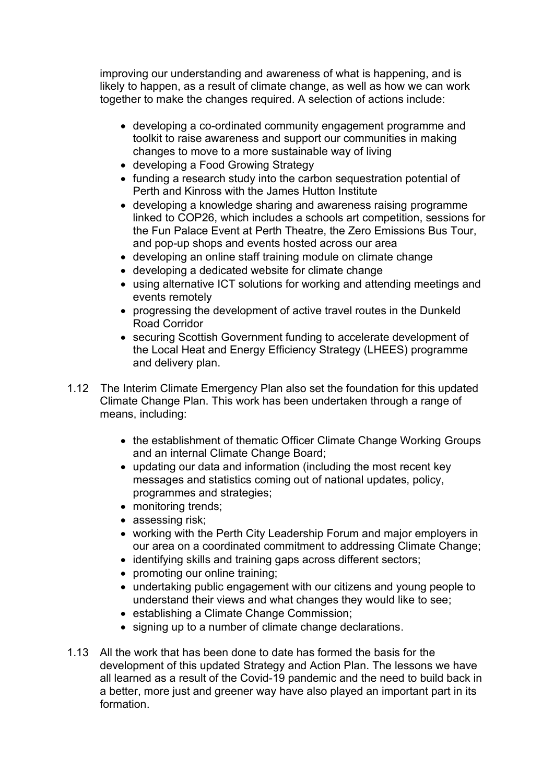improving our understanding and awareness of what is happening, and is likely to happen, as a result of climate change, as well as how we can work together to make the changes required. A selection of actions include:

- developing a co-ordinated community engagement programme and toolkit to raise awareness and support our communities in making changes to move to a more sustainable way of living
- developing a Food Growing Strategy
- funding a research study into the carbon sequestration potential of Perth and Kinross with the James Hutton Institute
- developing a knowledge sharing and awareness raising programme linked to COP26, which includes a schools art competition, sessions for the Fun Palace Event at Perth Theatre, the Zero Emissions Bus Tour, and pop-up shops and events hosted across our area
- developing an online staff training module on climate change
- developing a dedicated website for climate change
- using alternative ICT solutions for working and attending meetings and events remotely
- progressing the development of active travel routes in the Dunkeld Road Corridor
- securing Scottish Government funding to accelerate development of the Local Heat and Energy Efficiency Strategy (LHEES) programme and delivery plan.
- 1.12 The Interim Climate Emergency Plan also set the foundation for this updated Climate Change Plan. This work has been undertaken through a range of means, including:
	- the establishment of thematic Officer Climate Change Working Groups and an internal Climate Change Board;
	- updating our data and information (including the most recent key messages and statistics coming out of national updates, policy, programmes and strategies;
	- monitoring trends;
	- assessing risk;
	- working with the Perth City Leadership Forum and major employers in our area on a coordinated commitment to addressing Climate Change;
	- identifying skills and training gaps across different sectors;
	- promoting our online training;
	- undertaking public engagement with our citizens and young people to understand their views and what changes they would like to see;
	- establishing a Climate Change Commission;
	- signing up to a number of climate change declarations.
- 1.13 All the work that has been done to date has formed the basis for the development of this updated Strategy and Action Plan. The lessons we have all learned as a result of the Covid-19 pandemic and the need to build back in a better, more just and greener way have also played an important part in its formation.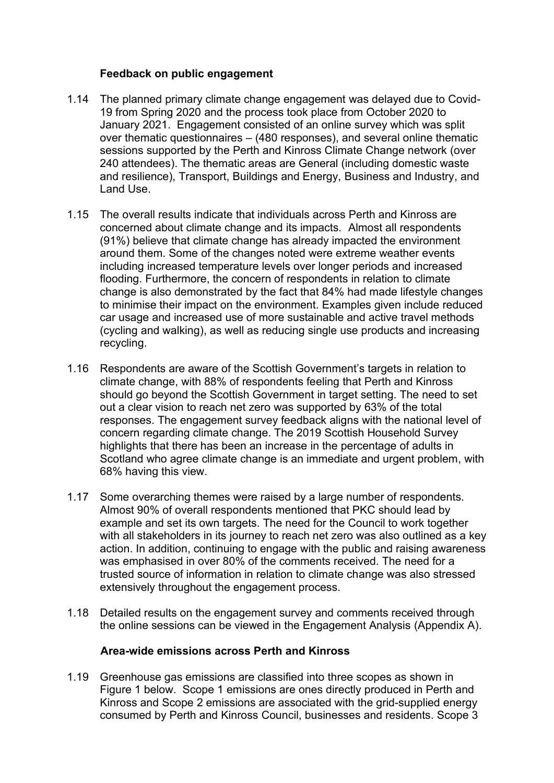# **Feedback on public engagement**

- 1.14 The planned primary climate change engagement was delayed due to Covid-19 from Spring 2020 and the process took place from October 2020 to January 2021. Engagement consisted of an online survey which was split over thematic questionnaires – (480 responses), and several online thematic sessions supported by the Perth and Kinross Climate Change network (over 240 attendees). The thematic areas are General (including domestic waste and resilience), Transport, Buildings and Energy, Business and Industry, and Land Use.
- 1.15 The overall results indicate that individuals across Perth and Kinross are concerned about climate change and its impacts. Almost all respondents (91%) believe that climate change has already impacted the environment around them. Some of the changes noted were extreme weather events including increased temperature levels over longer periods and increased flooding. Furthermore, the concern of respondents in relation to climate change is also demonstrated by the fact that 84% had made lifestyle changes to minimise their impact on the environment. Examples given include reduced car usage and increased use of more sustainable and active travel methods (cycling and walking), as well as reducing single use products and increasing recycling.
- 1.16 Respondents are aware of the Scottish Government's targets in relation to climate change, with 88% of respondents feeling that Perth and Kinross should go beyond the Scottish Government in target setting. The need to set out a clear vision to reach net zero was supported by 63% of the total responses. The engagement survey feedback aligns with the national level of concern regarding climate change. The 2019 Scottish Household Survey highlights that there has been an increase in the percentage of adults in Scotland who agree climate change is an immediate and urgent problem, with 68% having this view.
- 1.17 Some overarching themes were raised by a large number of respondents. Almost 90% of overall respondents mentioned that PKC should lead by example and set its own targets. The need for the Council to work together with all stakeholders in its journey to reach net zero was also outlined as a key action. In addition, continuing to engage with the public and raising awareness was emphasised in over 80% of the comments received. The need for a trusted source of information in relation to climate change was also stressed extensively throughout the engagement process.
- 1.18 Detailed results on the engagement survey and comments received through the online sessions can be viewed in the Engagement Analysis (Appendix A).

### **Area-wide emissions across Perth and Kinross**

1.19 Greenhouse gas emissions are classified into three scopes as shown in Figure 1 below. Scope 1 emissions are ones directly produced in Perth and Kinross and Scope 2 emissions are associated with the grid-supplied energy consumed by Perth and Kinross Council, businesses and residents. Scope 3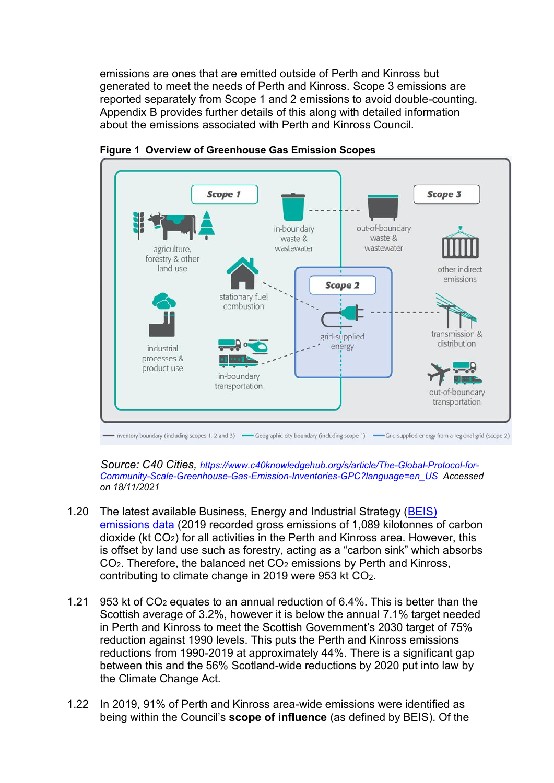emissions are ones that are emitted outside of Perth and Kinross but generated to meet the needs of Perth and Kinross. Scope 3 emissions are reported separately from Scope 1 and 2 emissions to avoid double-counting. Appendix B provides further details of this along with detailed information about the emissions associated with Perth and Kinross Council.



**Figure 1 Overview of Greenhouse Gas Emission Scopes** 

 *Source: C40 Cities, [https://www.c40knowledgehub.org/s/article/The-Global-Protocol-for-](https://www.c40knowledgehub.org/s/article/The-Global-Protocol-for-Community-Scale-Greenhouse-Gas-Emission-Inventories-GPC?language=en_US)[Community-Scale-Greenhouse-Gas-Emission-Inventories-GPC?language=en\\_US](https://www.c40knowledgehub.org/s/article/The-Global-Protocol-for-Community-Scale-Greenhouse-Gas-Emission-Inventories-GPC?language=en_US) Accessed on 18/11/2021*

- 1.20 The latest available Business, Energy and Industrial Strategy (BEIS) [emissions data](https://www.gov.uk/government/collections/uk-local-authority-and-regional-carbon-dioxide-emissions-national-statistics) (2019 recorded gross emissions of 1,089 kilotonnes of carbon dioxide (kt CO2) for all activities in the Perth and Kinross area. However, this is offset by land use such as forestry, acting as a "carbon sink" which absorbs  $CO<sub>2</sub>$ . Therefore, the balanced net  $CO<sub>2</sub>$  emissions by Perth and Kinross, contributing to climate change in 2019 were 953 kt CO2.
- 1.21 953 kt of CO2 equates to an annual reduction of 6.4%. This is better than the Scottish average of 3.2%, however it is below the annual 7.1% target needed in Perth and Kinross to meet the Scottish Government's 2030 target of 75% reduction against 1990 levels. This puts the Perth and Kinross emissions reductions from 1990-2019 at approximately 44%. There is a significant gap between this and the 56% Scotland-wide reductions by 2020 put into law by the Climate Change Act.
- 1.22 In 2019, 91% of Perth and Kinross area-wide emissions were identified as being within the Council's **scope of influence** (as defined by BEIS). Of the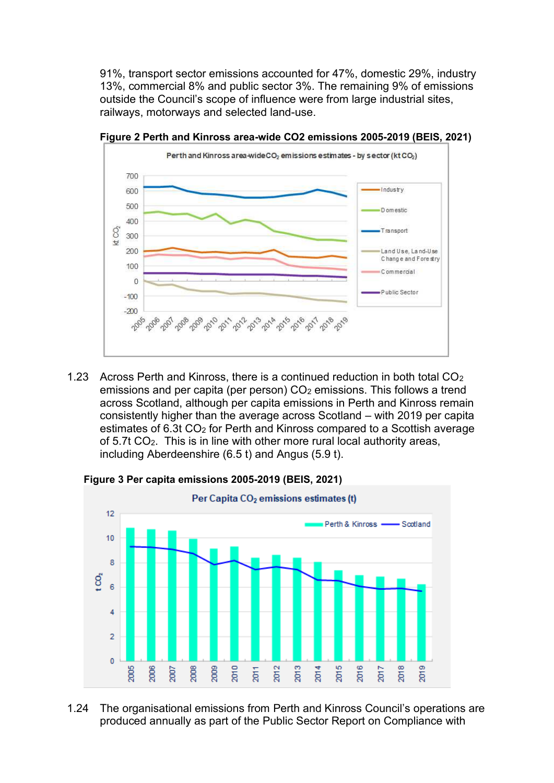91%, transport sector emissions accounted for 47%, domestic 29%, industry 13%, commercial 8% and public sector 3%. The remaining 9% of emissions outside the Council's scope of influence were from large industrial sites, railways, motorways and selected land-use.



**Figure 2 Perth and Kinross area-wide CO2 emissions 2005-2019 (BEIS, 2021)**

1.23 Across Perth and Kinross, there is a continued reduction in both total  $CO<sub>2</sub>$ emissions and per capita (per person) CO<sub>2</sub> emissions. This follows a trend across Scotland, although per capita emissions in Perth and Kinross remain consistently higher than the average across Scotland – with 2019 per capita estimates of 6.3t CO<sub>2</sub> for Perth and Kinross compared to a Scottish average of 5.7t CO2. This is in line with other more rural local authority areas, including Aberdeenshire (6.5 t) and Angus (5.9 t).

**Figure 3 Per capita emissions 2005-2019 (BEIS, 2021)** 



1.24 The organisational emissions from Perth and Kinross Council's operations are produced annually as part of the Public Sector Report on Compliance with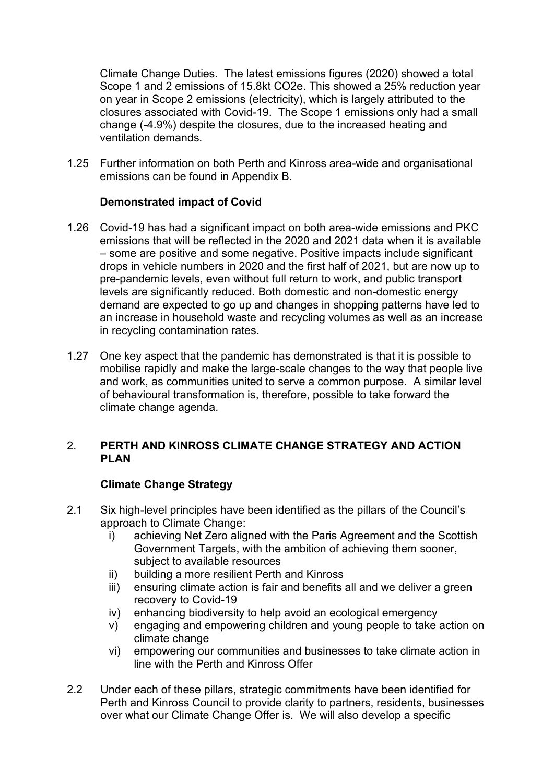Climate Change Duties. The latest emissions figures (2020) showed a total Scope 1 and 2 emissions of 15.8kt CO2e. This showed a 25% reduction year on year in Scope 2 emissions (electricity), which is largely attributed to the closures associated with Covid-19. The Scope 1 emissions only had a small change (-4.9%) despite the closures, due to the increased heating and ventilation demands.

1.25 Further information on both Perth and Kinross area-wide and organisational emissions can be found in Appendix B.

# **Demonstrated impact of Covid**

- 1.26 Covid-19 has had a significant impact on both area-wide emissions and PKC emissions that will be reflected in the 2020 and 2021 data when it is available – some are positive and some negative. Positive impacts include significant drops in vehicle numbers in 2020 and the first half of 2021, but are now up to pre-pandemic levels, even without full return to work, and public transport levels are significantly reduced. Both domestic and non-domestic energy demand are expected to go up and changes in shopping patterns have led to an increase in household waste and recycling volumes as well as an increase in recycling contamination rates.
- 1.27 One key aspect that the pandemic has demonstrated is that it is possible to mobilise rapidly and make the large-scale changes to the way that people live and work, as communities united to serve a common purpose. A similar level of behavioural transformation is, therefore, possible to take forward the climate change agenda.

# 2. **PERTH AND KINROSS CLIMATE CHANGE STRATEGY AND ACTION PLAN**

# **Climate Change Strategy**

- 2.1 Six high-level principles have been identified as the pillars of the Council's approach to Climate Change:
	- i) achieving Net Zero aligned with the Paris Agreement and the Scottish Government Targets, with the ambition of achieving them sooner, subject to available resources
	- ii) building a more resilient Perth and Kinross
	- iii) ensuring climate action is fair and benefits all and we deliver a green recovery to Covid-19
	- iv) enhancing biodiversity to help avoid an ecological emergency
	- v) engaging and empowering children and young people to take action on climate change
	- vi) empowering our communities and businesses to take climate action in line with the Perth and Kinross Offer
- 2.2 Under each of these pillars, strategic commitments have been identified for Perth and Kinross Council to provide clarity to partners, residents, businesses over what our Climate Change Offer is. We will also develop a specific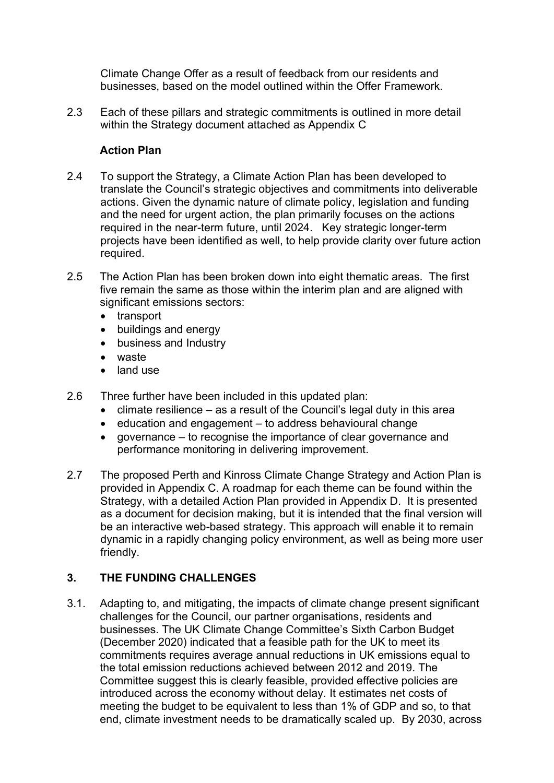Climate Change Offer as a result of feedback from our residents and businesses, based on the model outlined within the Offer Framework.

2.3 Each of these pillars and strategic commitments is outlined in more detail within the Strategy document attached as Appendix C

# **Action Plan**

- 2.4 To support the Strategy, a Climate Action Plan has been developed to translate the Council's strategic objectives and commitments into deliverable actions. Given the dynamic nature of climate policy, legislation and funding and the need for urgent action, the plan primarily focuses on the actions required in the near-term future, until 2024. Key strategic longer-term projects have been identified as well, to help provide clarity over future action required.
- 2.5 The Action Plan has been broken down into eight thematic areas. The first five remain the same as those within the interim plan and are aligned with significant emissions sectors:
	- transport
	- buildings and energy
	- business and Industry
	- waste
	- land use
- 2.6 Three further have been included in this updated plan:
	- climate resilience as a result of the Council's legal duty in this area
	- education and engagement to address behavioural change
	- governance to recognise the importance of clear governance and performance monitoring in delivering improvement.
- 2.7 The proposed Perth and Kinross Climate Change Strategy and Action Plan is provided in Appendix C. A roadmap for each theme can be found within the Strategy, with a detailed Action Plan provided in Appendix D. It is presented as a document for decision making, but it is intended that the final version will be an interactive web-based strategy. This approach will enable it to remain dynamic in a rapidly changing policy environment, as well as being more user friendly.

# **3. THE FUNDING CHALLENGES**

3.1. Adapting to, and mitigating, the impacts of climate change present significant challenges for the Council, our partner organisations, residents and businesses. The UK Climate Change Committee's Sixth Carbon Budget (December 2020) indicated that a feasible path for the UK to meet its commitments requires average annual reductions in UK emissions equal to the total emission reductions achieved between 2012 and 2019. The Committee suggest this is clearly feasible, provided effective policies are introduced across the economy without delay. It estimates net costs of meeting the budget to be equivalent to less than 1% of GDP and so, to that end, climate investment needs to be dramatically scaled up. By 2030, across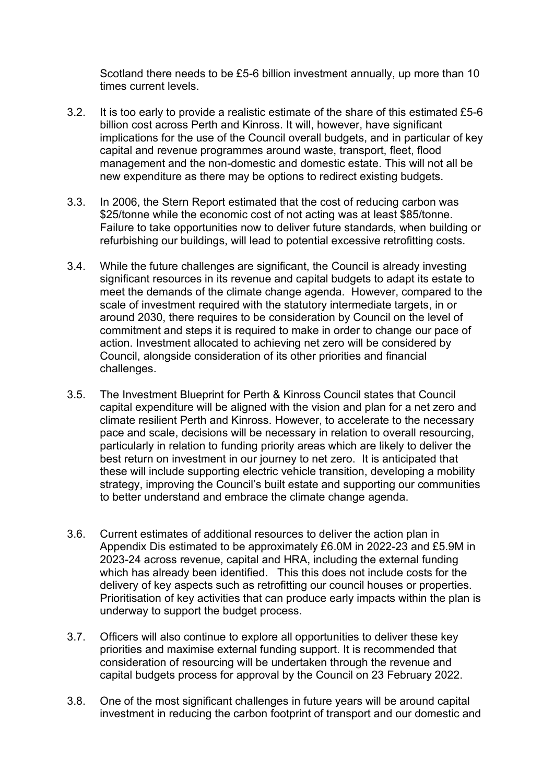Scotland there needs to be £5-6 billion investment annually, up more than 10 times current levels.

- 3.2. It is too early to provide a realistic estimate of the share of this estimated £5-6 billion cost across Perth and Kinross. It will, however, have significant implications for the use of the Council overall budgets, and in particular of key capital and revenue programmes around waste, transport, fleet, flood management and the non-domestic and domestic estate. This will not all be new expenditure as there may be options to redirect existing budgets.
- 3.3. In 2006, the Stern Report estimated that the cost of reducing carbon was \$25/tonne while the economic cost of not acting was at least \$85/tonne. Failure to take opportunities now to deliver future standards, when building or refurbishing our buildings, will lead to potential excessive retrofitting costs.
- 3.4. While the future challenges are significant, the Council is already investing significant resources in its revenue and capital budgets to adapt its estate to meet the demands of the climate change agenda. However, compared to the scale of investment required with the statutory intermediate targets, in or around 2030, there requires to be consideration by Council on the level of commitment and steps it is required to make in order to change our pace of action. Investment allocated to achieving net zero will be considered by Council, alongside consideration of its other priorities and financial challenges.
- 3.5. The Investment Blueprint for Perth & Kinross Council states that Council capital expenditure will be aligned with the vision and plan for a net zero and climate resilient Perth and Kinross. However, to accelerate to the necessary pace and scale, decisions will be necessary in relation to overall resourcing, particularly in relation to funding priority areas which are likely to deliver the best return on investment in our journey to net zero. It is anticipated that these will include supporting electric vehicle transition, developing a mobility strategy, improving the Council's built estate and supporting our communities to better understand and embrace the climate change agenda.
- 3.6. Current estimates of additional resources to deliver the action plan in Appendix Dis estimated to be approximately £6.0M in 2022-23 and £5.9M in 2023-24 across revenue, capital and HRA, including the external funding which has already been identified. This this does not include costs for the delivery of key aspects such as retrofitting our council houses or properties. Prioritisation of key activities that can produce early impacts within the plan is underway to support the budget process.
- 3.7. Officers will also continue to explore all opportunities to deliver these key priorities and maximise external funding support. It is recommended that consideration of resourcing will be undertaken through the revenue and capital budgets process for approval by the Council on 23 February 2022.
- 3.8. One of the most significant challenges in future years will be around capital investment in reducing the carbon footprint of transport and our domestic and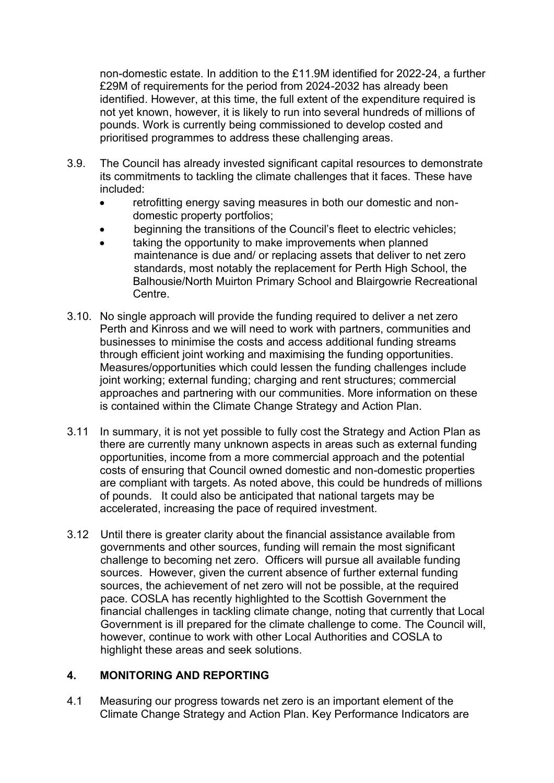non-domestic estate. In addition to the £11.9M identified for 2022-24, a further £29M of requirements for the period from 2024-2032 has already been identified. However, at this time, the full extent of the expenditure required is not yet known, however, it is likely to run into several hundreds of millions of pounds. Work is currently being commissioned to develop costed and prioritised programmes to address these challenging areas.

- 3.9. The Council has already invested significant capital resources to demonstrate its commitments to tackling the climate challenges that it faces. These have included:
	- retrofitting energy saving measures in both our domestic and nondomestic property portfolios;
	- beginning the transitions of the Council's fleet to electric vehicles;
	- taking the opportunity to make improvements when planned maintenance is due and/ or replacing assets that deliver to net zero standards, most notably the replacement for Perth High School, the Balhousie/North Muirton Primary School and Blairgowrie Recreational Centre.
- 3.10. No single approach will provide the funding required to deliver a net zero Perth and Kinross and we will need to work with partners, communities and businesses to minimise the costs and access additional funding streams through efficient joint working and maximising the funding opportunities. Measures/opportunities which could lessen the funding challenges include joint working; external funding; charging and rent structures; commercial approaches and partnering with our communities. More information on these is contained within the Climate Change Strategy and Action Plan.
- 3.11 In summary, it is not yet possible to fully cost the Strategy and Action Plan as there are currently many unknown aspects in areas such as external funding opportunities, income from a more commercial approach and the potential costs of ensuring that Council owned domestic and non-domestic properties are compliant with targets. As noted above, this could be hundreds of millions of pounds. It could also be anticipated that national targets may be accelerated, increasing the pace of required investment.
- 3.12 Until there is greater clarity about the financial assistance available from governments and other sources, funding will remain the most significant challenge to becoming net zero. Officers will pursue all available funding sources. However, given the current absence of further external funding sources, the achievement of net zero will not be possible, at the required pace. COSLA has recently highlighted to the Scottish Government the financial challenges in tackling climate change, noting that currently that Local Government is ill prepared for the climate challenge to come. The Council will, however, continue to work with other Local Authorities and COSLA to highlight these areas and seek solutions.

### **4. MONITORING AND REPORTING**

4.1 Measuring our progress towards net zero is an important element of the Climate Change Strategy and Action Plan. Key Performance Indicators are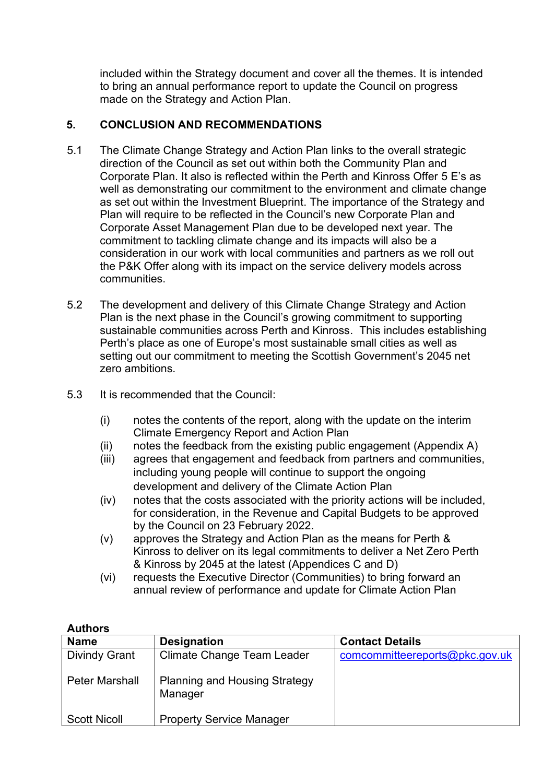included within the Strategy document and cover all the themes. It is intended to bring an annual performance report to update the Council on progress made on the Strategy and Action Plan.

# **5. CONCLUSION AND RECOMMENDATIONS**

- 5.1 The Climate Change Strategy and Action Plan links to the overall strategic direction of the Council as set out within both the Community Plan and Corporate Plan. It also is reflected within the Perth and Kinross Offer 5 E's as well as demonstrating our commitment to the environment and climate change as set out within the Investment Blueprint. The importance of the Strategy and Plan will require to be reflected in the Council's new Corporate Plan and Corporate Asset Management Plan due to be developed next year. The commitment to tackling climate change and its impacts will also be a consideration in our work with local communities and partners as we roll out the P&K Offer along with its impact on the service delivery models across communities.
- 5.2 The development and delivery of this Climate Change Strategy and Action Plan is the next phase in the Council's growing commitment to supporting sustainable communities across Perth and Kinross. This includes establishing Perth's place as one of Europe's most sustainable small cities as well as setting out our commitment to meeting the Scottish Government's 2045 net zero ambitions.
- 5.3 It is recommended that the Council:
	- (i) notes the contents of the report, along with the update on the interim Climate Emergency Report and Action Plan
	- (ii) notes the feedback from the existing public engagement (Appendix A)
	- (iii) agrees that engagement and feedback from partners and communities, including young people will continue to support the ongoing development and delivery of the Climate Action Plan
	- (iv) notes that the costs associated with the priority actions will be included, for consideration, in the Revenue and Capital Budgets to be approved by the Council on 23 February 2022.
	- (v) approves the Strategy and Action Plan as the means for Perth & Kinross to deliver on its legal commitments to deliver a Net Zero Perth & Kinross by 2045 at the latest (Appendices C and D)
	- (vi) requests the Executive Director (Communities) to bring forward an annual review of performance and update for Climate Action Plan

| <b>Name</b>           | <b>Designation</b>                              | <b>Contact Details</b>         |
|-----------------------|-------------------------------------------------|--------------------------------|
| <b>Divindy Grant</b>  | <b>Climate Change Team Leader</b>               | comcommitteereports@pkc.gov.uk |
| <b>Peter Marshall</b> | <b>Planning and Housing Strategy</b><br>Manager |                                |
| <b>Scott Nicoll</b>   | <b>Property Service Manager</b>                 |                                |

**Authors**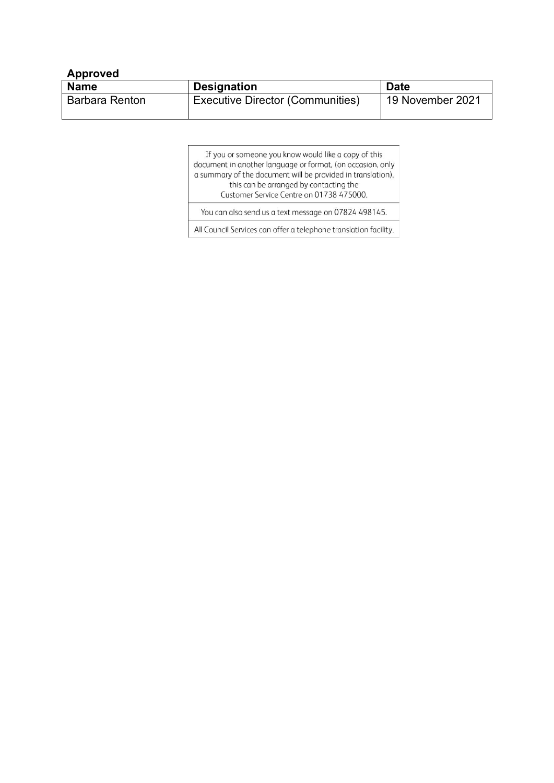| <b>Approved</b>       |                                         |                  |  |  |
|-----------------------|-----------------------------------------|------------------|--|--|
| <b>Name</b>           | <b>Designation</b>                      | <b>Date</b>      |  |  |
| <b>Barbara Renton</b> | <b>Executive Director (Communities)</b> | 19 November 2021 |  |  |

| If you or someone you know would like a copy of this        |
|-------------------------------------------------------------|
| document in another language or format, (on occasion, only  |
| a summary of the document will be provided in translation), |
| this can be arranged by contacting the                      |
| Customer Service Centre on 01738 475000.                    |
| You can also send us a text message on 07824 498145.        |

All Council Services can offer a telephone translation facility.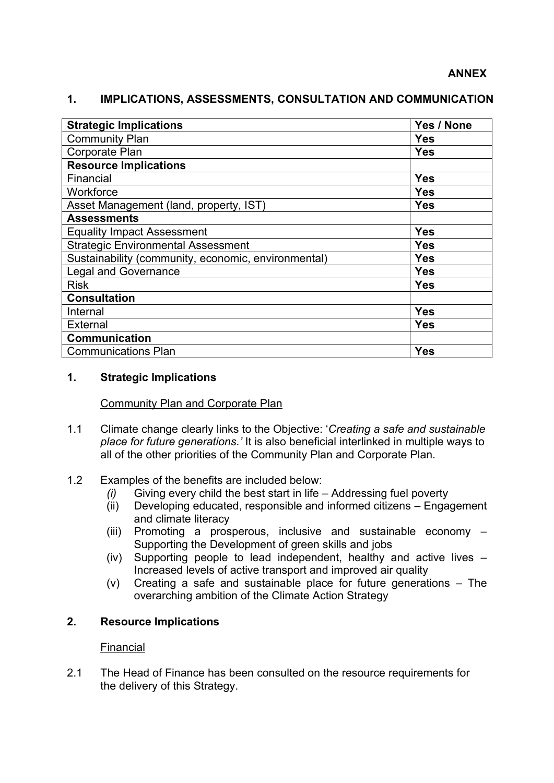| <b>Strategic Implications</b>                       | Yes / None |
|-----------------------------------------------------|------------|
| <b>Community Plan</b>                               | <b>Yes</b> |
| <b>Corporate Plan</b>                               | <b>Yes</b> |
| <b>Resource Implications</b>                        |            |
| Financial                                           | <b>Yes</b> |
| Workforce                                           | <b>Yes</b> |
| Asset Management (land, property, IST)              | <b>Yes</b> |
| <b>Assessments</b>                                  |            |
| <b>Equality Impact Assessment</b>                   | <b>Yes</b> |
| <b>Strategic Environmental Assessment</b>           | <b>Yes</b> |
| Sustainability (community, economic, environmental) | <b>Yes</b> |
| <b>Legal and Governance</b>                         | <b>Yes</b> |
| <b>Risk</b>                                         | <b>Yes</b> |
| <b>Consultation</b>                                 |            |
| Internal                                            | <b>Yes</b> |
| <b>External</b>                                     | <b>Yes</b> |
| <b>Communication</b>                                |            |
| <b>Communications Plan</b>                          | <b>Yes</b> |

# **1. IMPLICATIONS, ASSESSMENTS, CONSULTATION AND COMMUNICATION**

# **1. Strategic Implications**

### Community Plan and Corporate Plan

- 1.1 Climate change clearly links to the Objective: '*Creating a safe and sustainable place for future generations.'* It is also beneficial interlinked in multiple ways to all of the other priorities of the Community Plan and Corporate Plan.
- 1.2 Examples of the benefits are included below:
	- *(i)* Giving every child the best start in life Addressing fuel poverty *(ii)* Developing educated, responsible and informed citizens Engage
	- Developing educated, responsible and informed citizens Engagement and climate literacy
	- (iii) Promoting a prosperous, inclusive and sustainable economy Supporting the Development of green skills and jobs
	- (iv) Supporting people to lead independent, healthy and active lives Increased levels of active transport and improved air quality
	- (v) Creating a safe and sustainable place for future generations The overarching ambition of the Climate Action Strategy

# **2. Resource Implications**

### Financial

2.1 The Head of Finance has been consulted on the resource requirements for the delivery of this Strategy.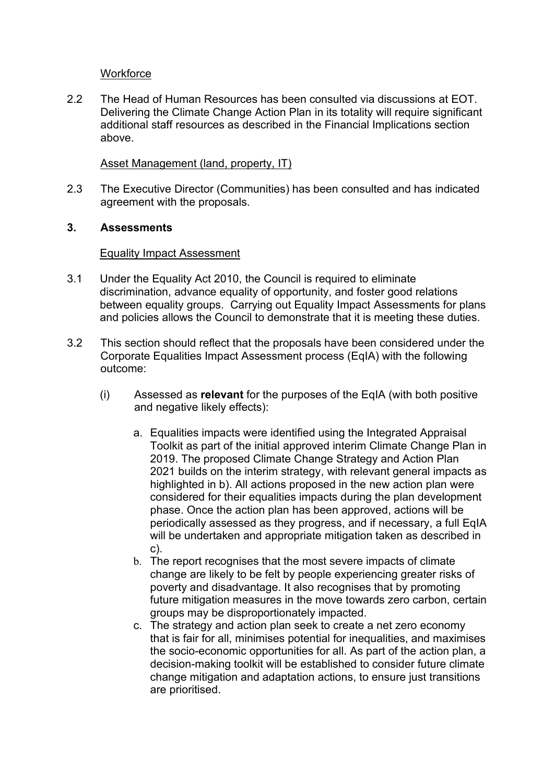### **Workforce**

2.2 The Head of Human Resources has been consulted via discussions at EOT. Delivering the Climate Change Action Plan in its totality will require significant additional staff resources as described in the Financial Implications section above.

### Asset Management (land, property, IT)

2.3 The Executive Director (Communities) has been consulted and has indicated agreement with the proposals.

#### **3. Assessments**

#### Equality Impact Assessment

- 3.1 Under the Equality Act 2010, the Council is required to eliminate discrimination, advance equality of opportunity, and foster good relations between equality groups. Carrying out Equality Impact Assessments for plans and policies allows the Council to demonstrate that it is meeting these duties.
- 3.2 This section should reflect that the proposals have been considered under the Corporate Equalities Impact Assessment process (EqIA) with the following outcome:
	- (i) Assessed as **relevant** for the purposes of the EqIA (with both positive and negative likely effects):
		- a. Equalities impacts were identified using the Integrated Appraisal Toolkit as part of the initial approved interim Climate Change Plan in 2019. The proposed Climate Change Strategy and Action Plan 2021 builds on the interim strategy, with relevant general impacts as highlighted in b). All actions proposed in the new action plan were considered for their equalities impacts during the plan development phase. Once the action plan has been approved, actions will be periodically assessed as they progress, and if necessary, a full EqIA will be undertaken and appropriate mitigation taken as described in c).
		- b. The report recognises that the most severe impacts of climate change are likely to be felt by people experiencing greater risks of poverty and disadvantage. It also recognises that by promoting future mitigation measures in the move towards zero carbon, certain groups may be disproportionately impacted.
		- c. The strategy and action plan seek to create a net zero economy that is fair for all, minimises potential for inequalities, and maximises the socio-economic opportunities for all. As part of the action plan, a decision-making toolkit will be established to consider future climate change mitigation and adaptation actions, to ensure just transitions are prioritised.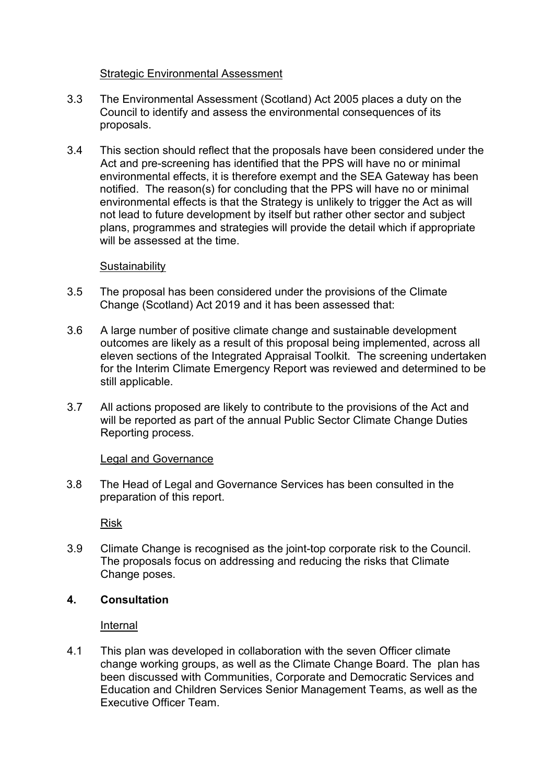### Strategic Environmental Assessment

- 3.3 The Environmental Assessment (Scotland) Act 2005 places a duty on the Council to identify and assess the environmental consequences of its proposals.
- 3.4 This section should reflect that the proposals have been considered under the Act and pre-screening has identified that the PPS will have no or minimal environmental effects, it is therefore exempt and the SEA Gateway has been notified. The reason(s) for concluding that the PPS will have no or minimal environmental effects is that the Strategy is unlikely to trigger the Act as will not lead to future development by itself but rather other sector and subject plans, programmes and strategies will provide the detail which if appropriate will be assessed at the time.

### **Sustainability**

- 3.5 The proposal has been considered under the provisions of the Climate Change (Scotland) Act 2019 and it has been assessed that:
- 3.6 A large number of positive climate change and sustainable development outcomes are likely as a result of this proposal being implemented, across all eleven sections of the Integrated Appraisal Toolkit. The screening undertaken for the Interim Climate Emergency Report was reviewed and determined to be still applicable.
- 3.7 All actions proposed are likely to contribute to the provisions of the Act and will be reported as part of the annual Public Sector Climate Change Duties Reporting process.

#### Legal and Governance

3.8 The Head of Legal and Governance Services has been consulted in the preparation of this report.

Risk

3.9 Climate Change is recognised as the joint-top corporate risk to the Council. The proposals focus on addressing and reducing the risks that Climate Change poses.

### **4. Consultation**

Internal

4.1 This plan was developed in collaboration with the seven Officer climate change working groups, as well as the Climate Change Board. The plan has been discussed with Communities, Corporate and Democratic Services and Education and Children Services Senior Management Teams, as well as the Executive Officer Team.